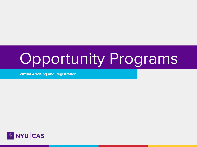# Opportunity Programs

**Virtual Advising and Registration**

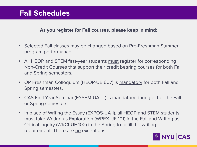# **Fall Schedules**

#### **As you register for Fall courses, please keep in mind:**

- Selected Fall classes may be changed based on Pre-Freshman Summer program performance.
- All HEOP and STEM first-year students must register for corresponding Non-Credit Courses that support their credit bearing courses for both Fall and Spring semesters.
- OP Freshman Colloquium (HEOP-UE 607) is mandatory for both Fall and Spring semesters.
- CAS First-Year Seminar (FYSEM-UA ---) is mandatory during either the Fall or Spring semesters.
- In place of Writing the Essay (EXPOS-UA 1), all HEOP and STEM students must take Writing as Exploration (WREX-UF 101) in the Fall and Writing as Critical Inquiry (WRCI-UF 102) in the Spring to fulfill the writing requirement. There are no exceptions.

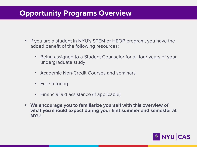# **Opportunity Programs Overview**

- If you are a student in NYU's STEM or HEOP program, you have the added benefit of the following resources:
	- Being assigned to a Student Counselor for all four years of your undergraduate study
	- Academic Non-Credit Courses and seminars
	- Free tutoring
	- Financial aid assistance (if applicable)
- **• We encourage you to familiarize yourself with this overview of what you should expect during your first summer and semester at NYU.**

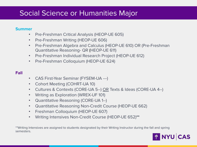# Social Science or Humanities Major

#### **Summer**

- Pre-Freshman Critical Analysis (HEOP-UE 605)
- Pre-Freshman Writing (HEOP-UE 606)
- Pre-Freshman Algebra and Calculus (HEOP-UE 610) OR (Pre-Freshman Quantitative Reasoning- QR (HEOP-UE 611)
- Pre-Freshman Individual Research Project (HEOP-UE 612)
- Pre-Freshman Colloquium (HEOP-UE 624)

#### **Fall**

- CAS First-Year Seminar (FYSEM-UA ---)
- Cohort Meeting (COHRT-UA 10)
- Cultures & Contexts (CORE-UA 5--) OR Texts & Ideas (CORE-UA 4--)
- Writing as Exploration (WREX-UF 101)
- Quantitative Reasoning (CORE-UA 1--)
- Quantitative Reasoning Non-Credit Course (HEOP-UE 662)
- Freshman Colloquium (HEOP-UE 607)
- Writing Intensives Non-Credit Course (HEOP-UE 652)**\*\***

\*\*Writing Intensives are assigned to students designated by their Writing Instructor during the fall and spring semesters.

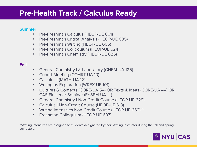### **Pre-Health Track / Calculus Ready**

#### **Summer**

- Pre-Freshman Calculus (HEOP-UE 601)
- Pre-Freshman Critical Analysis (HEOP-UE 605)
- Pre-Freshman Writing (HEOP-UE 606)
- Pre-Freshman Colloquium (HEOP-UE 624)
- Pre-Freshman Chemistry (HEOP-UE 625)

#### **Fall**

- General Chemistry I & Laboratory (CHEM-UA 125)
- Cohort Meeting (COHRT-UA 10)
- Calculus I (MATH-UA 121)
- Writing as Exploration (WREX-UF 101)
- Cultures & Contexts (CORE-UA 5--) OR Texts & Ideas (CORE-UA 4--) OR CAS First-Year Seminar (FYSEM-UA ---)
- General Chemistry I Non-Credit Course (HEOP-UE 629)
- Calculus I Non-Credit Course (HEOP-UE 613)
- Writing Intensives Non-Credit Course (HEOP-UE 652)**\*\***
- Freshman Colloquium (HEOP-UE 607)

\*\*Writing Intensives are assigned to students designated by their Writing Instructor during the fall and spring semesters.

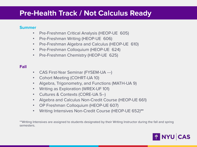### **Pre-Health Track / Not Calculus Ready**

#### **Summer**

- Pre-Freshman Critical Analysis (HEOP-UE 605)
- Pre-Freshman Writing (HEOP-UE 606)
- Pre-Freshman Algebra and Calculus (HEOP-UE 610)
- Pre-Freshman Colloquium (HEOP-UE 624)
- Pre-Freshman Chemistry (HEOP-UE 625)

### **Fall**

- CAS First-Year Seminar (FYSEM-UA ---)
- Cohort Meeting (COHRT-UA 10)
- Algebra, Trigonometry, and Functions (MATH-UA 9)
- Writing as Exploration (WREX-UF 101)
- Cultures & Contexts (CORE-UA 5--)
- Algebra and Calculus Non-Credit Course (HEOP-UE 661)
- OP Freshman Colloquium (HEOP-UE 607)
- Writing Intensives Non-Credit Course (HEOP-UE 652)**\*\***

\*\*Writing Intensives are assigned to students designated by their Writing Instructor during the fall and spring semesters.